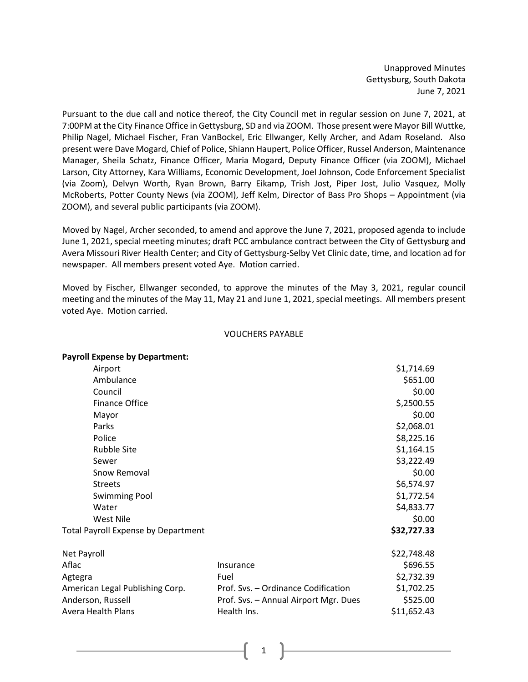Unapproved Minutes Gettysburg, South Dakota June 7, 2021

Pursuant to the due call and notice thereof, the City Council met in regular session on June 7, 2021, at 7:00PM at the City Finance Office in Gettysburg, SD and via ZOOM. Those present were Mayor Bill Wuttke, Philip Nagel, Michael Fischer, Fran VanBockel, Eric Ellwanger, Kelly Archer, and Adam Roseland. Also present were Dave Mogard, Chief of Police, Shiann Haupert, Police Officer, Russel Anderson, Maintenance Manager, Sheila Schatz, Finance Officer, Maria Mogard, Deputy Finance Officer (via ZOOM), Michael Larson, City Attorney, Kara Williams, Economic Development, Joel Johnson, Code Enforcement Specialist (via Zoom), Delvyn Worth, Ryan Brown, Barry Eikamp, Trish Jost, Piper Jost, Julio Vasquez, Molly McRoberts, Potter County News (via ZOOM), Jeff Kelm, Director of Bass Pro Shops – Appointment (via ZOOM), and several public participants (via ZOOM).

Moved by Nagel, Archer seconded, to amend and approve the June 7, 2021, proposed agenda to include June 1, 2021, special meeting minutes; draft PCC ambulance contract between the City of Gettysburg and Avera Missouri River Health Center; and City of Gettysburg-Selby Vet Clinic date, time, and location ad for newspaper. All members present voted Aye. Motion carried.

Moved by Fischer, Ellwanger seconded, to approve the minutes of the May 3, 2021, regular council meeting and the minutes of the May 11, May 21 and June 1, 2021, special meetings. All members present voted Aye. Motion carried.

## VOUCHERS PAYABLE

| <b>Payroll Expense by Department:</b>      |                                       |             |
|--------------------------------------------|---------------------------------------|-------------|
| Airport                                    |                                       | \$1,714.69  |
| Ambulance                                  |                                       | \$651.00    |
| Council                                    |                                       | \$0.00      |
| <b>Finance Office</b>                      |                                       | \$,2500.55  |
| Mayor                                      |                                       | \$0.00      |
| Parks                                      |                                       | \$2,068.01  |
| Police                                     |                                       | \$8,225.16  |
| <b>Rubble Site</b>                         |                                       | \$1,164.15  |
| Sewer                                      |                                       | \$3,222.49  |
| Snow Removal                               |                                       | \$0.00      |
| <b>Streets</b>                             |                                       | \$6,574.97  |
| <b>Swimming Pool</b>                       |                                       | \$1,772.54  |
| Water                                      |                                       | \$4,833.77  |
| West Nile                                  |                                       | \$0.00      |
| <b>Total Payroll Expense by Department</b> |                                       | \$32,727.33 |
| Net Payroll                                |                                       | \$22,748.48 |
| Aflac                                      | Insurance                             | \$696.55    |
| Agtegra                                    | Fuel                                  | \$2,732.39  |
| American Legal Publishing Corp.            | Prof. Svs. - Ordinance Codification   | \$1,702.25  |
| Anderson, Russell                          | Prof. Svs. - Annual Airport Mgr. Dues | \$525.00    |
| <b>Avera Health Plans</b>                  | Health Ins.                           | \$11,652.43 |
|                                            |                                       |             |

1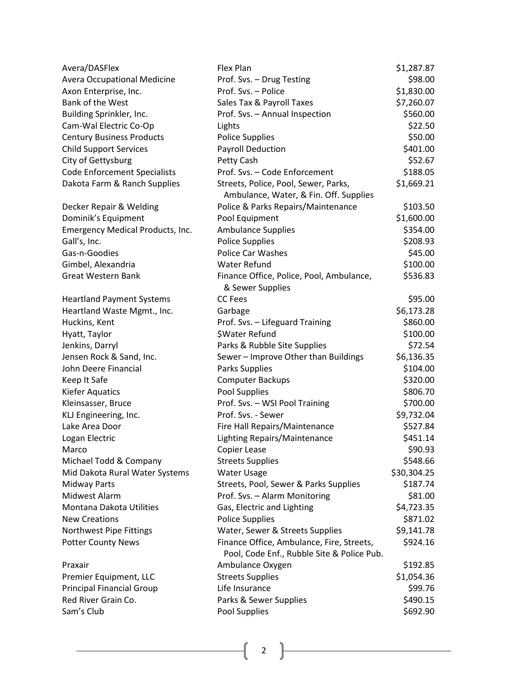| Avera/DASFlex                       | Flex Plan                                                                               | \$1,287.87             |
|-------------------------------------|-----------------------------------------------------------------------------------------|------------------------|
| <b>Avera Occupational Medicine</b>  | Prof. Svs. - Drug Testing                                                               | \$98.00                |
| Axon Enterprise, Inc.               | Prof. Svs. - Police                                                                     | \$1,830.00             |
| Bank of the West                    | Sales Tax & Payroll Taxes                                                               | \$7,260.07             |
| Building Sprinkler, Inc.            | Prof. Svs. - Annual Inspection                                                          | \$560.00               |
| Cam-Wal Electric Co-Op              | Lights                                                                                  | \$22.50                |
| <b>Century Business Products</b>    | <b>Police Supplies</b>                                                                  | \$50.00                |
| <b>Child Support Services</b>       | <b>Payroll Deduction</b>                                                                | \$401.00               |
| City of Gettysburg                  | Petty Cash                                                                              | \$52.67                |
| <b>Code Enforcement Specialists</b> | Prof. Svs. - Code Enforcement                                                           | \$188.05               |
| Dakota Farm & Ranch Supplies        | Streets, Police, Pool, Sewer, Parks,<br>Ambulance, Water, & Fin. Off. Supplies          | \$1,669.21             |
|                                     |                                                                                         | \$103.50               |
| Decker Repair & Welding             | Police & Parks Repairs/Maintenance                                                      |                        |
| Dominik's Equipment                 | Pool Equipment                                                                          | \$1,600.00<br>\$354.00 |
| Emergency Medical Products, Inc.    | <b>Ambulance Supplies</b>                                                               |                        |
| Gall's, Inc.                        | <b>Police Supplies</b>                                                                  | \$208.93               |
| Gas-n-Goodies                       | Police Car Washes<br><b>Water Refund</b>                                                | \$45.00                |
| Gimbel, Alexandria                  |                                                                                         | \$100.00               |
| <b>Great Western Bank</b>           | Finance Office, Police, Pool, Ambulance,<br>& Sewer Supplies                            | \$536.83               |
| <b>Heartland Payment Systems</b>    | <b>CC</b> Fees                                                                          | \$95.00                |
| Heartland Waste Mgmt., Inc.         | Garbage                                                                                 | \$6,173.28             |
| Huckins, Kent                       | Prof. Svs. - Lifeguard Training                                                         | \$860.00               |
| Hyatt, Taylor                       | \$Water Refund                                                                          | \$100.00               |
| Jenkins, Darryl                     | Parks & Rubble Site Supplies                                                            | \$72.54                |
| Jensen Rock & Sand, Inc.            | Sewer - Improve Other than Buildings                                                    | \$6,136.35             |
| John Deere Financial                | Parks Supplies                                                                          | \$104.00               |
| Keep It Safe                        | <b>Computer Backups</b>                                                                 | \$320.00               |
| <b>Kiefer Aquatics</b>              | Pool Supplies                                                                           | \$806.70               |
| Kleinsasser, Bruce                  | Prof. Svs. - WSI Pool Training                                                          | \$700.00               |
| KLJ Engineering, Inc.               | Prof. Svs. - Sewer                                                                      | \$9,732.04             |
| Lake Area Door                      | Fire Hall Repairs/Maintenance                                                           | \$527.84               |
| Logan Electric                      | Lighting Repairs/Maintenance                                                            | \$451.14               |
| Marco                               | Copier Lease                                                                            | \$90.93                |
| Michael Todd & Company              | <b>Streets Supplies</b>                                                                 | \$548.66               |
| Mid Dakota Rural Water Systems      | Water Usage                                                                             | \$30,304.25            |
| <b>Midway Parts</b>                 | Streets, Pool, Sewer & Parks Supplies                                                   | \$187.74               |
| Midwest Alarm                       | Prof. Svs. - Alarm Monitoring                                                           | \$81.00                |
| Montana Dakota Utilities            | Gas, Electric and Lighting                                                              | \$4,723.35             |
| <b>New Creations</b>                | <b>Police Supplies</b>                                                                  | \$871.02               |
| Northwest Pipe Fittings             | Water, Sewer & Streets Supplies                                                         | \$9,141.78             |
| <b>Potter County News</b>           | Finance Office, Ambulance, Fire, Streets,<br>Pool, Code Enf., Rubble Site & Police Pub. | \$924.16               |
| Praxair                             | Ambulance Oxygen                                                                        | \$192.85               |
| Premier Equipment, LLC              | <b>Streets Supplies</b>                                                                 | \$1,054.36             |
| <b>Principal Financial Group</b>    | Life Insurance                                                                          | \$99.76                |
| Red River Grain Co.                 | Parks & Sewer Supplies                                                                  | \$490.15               |
| Sam's Club                          | Pool Supplies                                                                           | \$692.90               |

 $\begin{pmatrix} 2 \end{pmatrix}$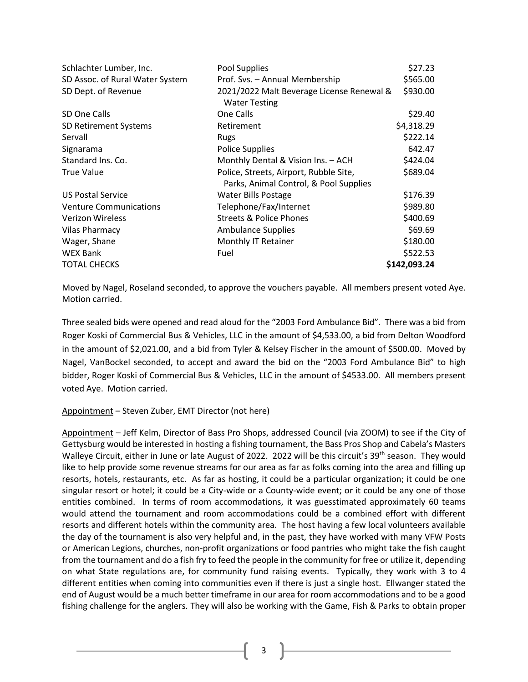| Schlachter Lumber, Inc.         | Pool Supplies                                                                    | \$27.23      |
|---------------------------------|----------------------------------------------------------------------------------|--------------|
| SD Assoc. of Rural Water System | Prof. Svs. - Annual Membership                                                   | \$565.00     |
| SD Dept. of Revenue             | 2021/2022 Malt Beverage License Renewal &<br><b>Water Testing</b>                | \$930.00     |
| SD One Calls                    | One Calls                                                                        | \$29.40      |
| SD Retirement Systems           | Retirement                                                                       | \$4,318.29   |
| Servall                         | Rugs                                                                             | \$222.14     |
| Signarama                       | <b>Police Supplies</b>                                                           | 642.47       |
| Standard Ins. Co.               | Monthly Dental & Vision Ins. - ACH                                               | \$424.04     |
| <b>True Value</b>               | Police, Streets, Airport, Rubble Site,<br>Parks, Animal Control, & Pool Supplies | \$689.04     |
| <b>US Postal Service</b>        | <b>Water Bills Postage</b>                                                       | \$176.39     |
| <b>Venture Communications</b>   | Telephone/Fax/Internet                                                           | \$989.80     |
| <b>Verizon Wireless</b>         | <b>Streets &amp; Police Phones</b>                                               | \$400.69     |
| <b>Vilas Pharmacy</b>           | <b>Ambulance Supplies</b>                                                        | \$69.69      |
| Wager, Shane                    | Monthly IT Retainer                                                              | \$180.00     |
| <b>WEX Bank</b>                 | Fuel                                                                             | \$522.53     |
| <b>TOTAL CHECKS</b>             |                                                                                  | \$142,093.24 |

Moved by Nagel, Roseland seconded, to approve the vouchers payable. All members present voted Aye. Motion carried.

Three sealed bids were opened and read aloud for the "2003 Ford Ambulance Bid". There was a bid from Roger Koski of Commercial Bus & Vehicles, LLC in the amount of \$4,533.00, a bid from Delton Woodford in the amount of \$2,021.00, and a bid from Tyler & Kelsey Fischer in the amount of \$500.00. Moved by Nagel, VanBockel seconded, to accept and award the bid on the "2003 Ford Ambulance Bid" to high bidder, Roger Koski of Commercial Bus & Vehicles, LLC in the amount of \$4533.00. All members present voted Aye. Motion carried.

## Appointment – Steven Zuber, EMT Director (not here)

Appointment – Jeff Kelm, Director of Bass Pro Shops, addressed Council (via ZOOM) to see if the City of Gettysburg would be interested in hosting a fishing tournament, the Bass Pros Shop and Cabela's Masters Walleye Circuit, either in June or late August of 2022. 2022 will be this circuit's 39<sup>th</sup> season. They would like to help provide some revenue streams for our area as far as folks coming into the area and filling up resorts, hotels, restaurants, etc. As far as hosting, it could be a particular organization; it could be one singular resort or hotel; it could be a City-wide or a County-wide event; or it could be any one of those entities combined. In terms of room accommodations, it was guesstimated approximately 60 teams would attend the tournament and room accommodations could be a combined effort with different resorts and different hotels within the community area. The host having a few local volunteers available the day of the tournament is also very helpful and, in the past, they have worked with many VFW Posts or American Legions, churches, non-profit organizations or food pantries who might take the fish caught from the tournament and do a fish fry to feed the people in the community for free or utilize it, depending on what State regulations are, for community fund raising events. Typically, they work with 3 to 4 different entities when coming into communities even if there is just a single host. Ellwanger stated the end of August would be a much better timeframe in our area for room accommodations and to be a good fishing challenge for the anglers. They will also be working with the Game, Fish & Parks to obtain proper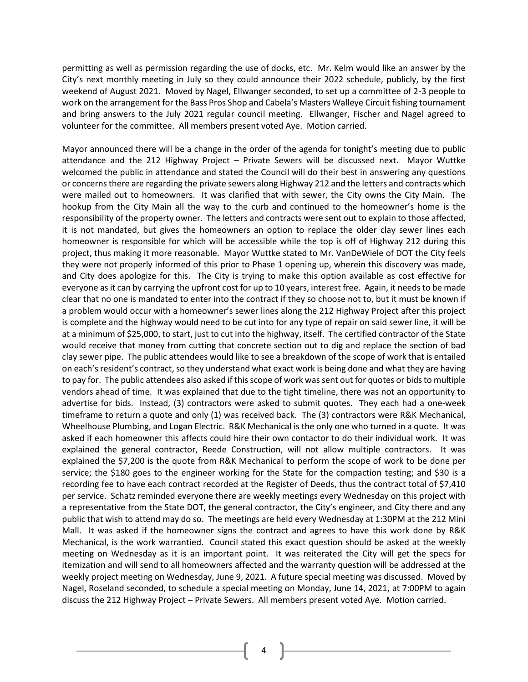permitting as well as permission regarding the use of docks, etc. Mr. Kelm would like an answer by the City's next monthly meeting in July so they could announce their 2022 schedule, publicly, by the first weekend of August 2021. Moved by Nagel, Ellwanger seconded, to set up a committee of 2-3 people to work on the arrangement for the Bass Pros Shop and Cabela's Masters Walleye Circuit fishing tournament and bring answers to the July 2021 regular council meeting. Ellwanger, Fischer and Nagel agreed to volunteer for the committee. All members present voted Aye. Motion carried.

Mayor announced there will be a change in the order of the agenda for tonight's meeting due to public attendance and the 212 Highway Project – Private Sewers will be discussed next. Mayor Wuttke welcomed the public in attendance and stated the Council will do their best in answering any questions or concerns there are regarding the private sewers along Highway 212 and the letters and contracts which were mailed out to homeowners. It was clarified that with sewer, the City owns the City Main. The hookup from the City Main all the way to the curb and continued to the homeowner's home is the responsibility of the property owner. The letters and contracts were sent out to explain to those affected, it is not mandated, but gives the homeowners an option to replace the older clay sewer lines each homeowner is responsible for which will be accessible while the top is off of Highway 212 during this project, thus making it more reasonable. Mayor Wuttke stated to Mr. VanDeWiele of DOT the City feels they were not properly informed of this prior to Phase 1 opening up, wherein this discovery was made, and City does apologize for this. The City is trying to make this option available as cost effective for everyone as it can by carrying the upfront cost for up to 10 years, interest free. Again, it needs to be made clear that no one is mandated to enter into the contract if they so choose not to, but it must be known if a problem would occur with a homeowner's sewer lines along the 212 Highway Project after this project is complete and the highway would need to be cut into for any type of repair on said sewer line, it will be at a minimum of \$25,000, to start, just to cut into the highway, itself. The certified contractor of the State would receive that money from cutting that concrete section out to dig and replace the section of bad clay sewer pipe. The public attendees would like to see a breakdown of the scope of work that is entailed on each's resident's contract, so they understand what exact work is being done and what they are having to pay for. The public attendees also asked if this scope of work was sent out for quotes or bids to multiple vendors ahead of time. It was explained that due to the tight timeline, there was not an opportunity to advertise for bids. Instead, (3) contractors were asked to submit quotes. They each had a one-week timeframe to return a quote and only (1) was received back. The (3) contractors were R&K Mechanical, Wheelhouse Plumbing, and Logan Electric. R&K Mechanical is the only one who turned in a quote. It was asked if each homeowner this affects could hire their own contactor to do their individual work. It was explained the general contractor, Reede Construction, will not allow multiple contractors. It was explained the \$7,200 is the quote from R&K Mechanical to perform the scope of work to be done per service; the \$180 goes to the engineer working for the State for the compaction testing; and \$30 is a recording fee to have each contract recorded at the Register of Deeds, thus the contract total of \$7,410 per service. Schatz reminded everyone there are weekly meetings every Wednesday on this project with a representative from the State DOT, the general contractor, the City's engineer, and City there and any public that wish to attend may do so. The meetings are held every Wednesday at 1:30PM at the 212 Mini Mall. It was asked if the homeowner signs the contract and agrees to have this work done by R&K Mechanical, is the work warrantied. Council stated this exact question should be asked at the weekly meeting on Wednesday as it is an important point. It was reiterated the City will get the specs for itemization and will send to all homeowners affected and the warranty question will be addressed at the weekly project meeting on Wednesday, June 9, 2021. A future special meeting was discussed. Moved by Nagel, Roseland seconded, to schedule a special meeting on Monday, June 14, 2021, at 7:00PM to again discuss the 212 Highway Project – Private Sewers. All members present voted Aye. Motion carried.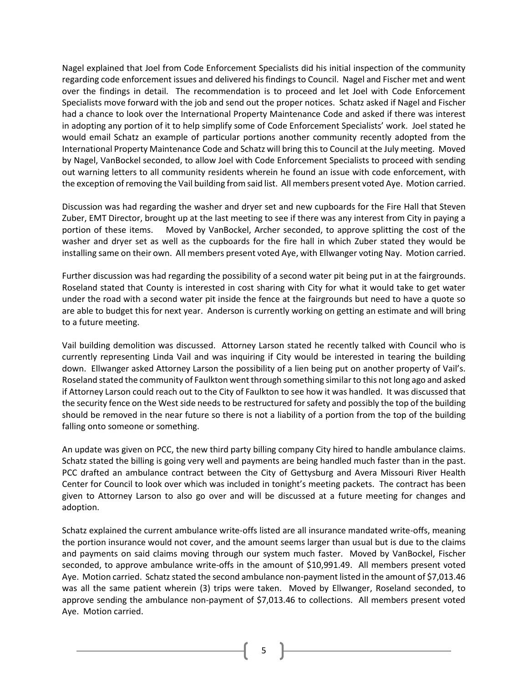Nagel explained that Joel from Code Enforcement Specialists did his initial inspection of the community regarding code enforcement issues and delivered his findings to Council. Nagel and Fischer met and went over the findings in detail. The recommendation is to proceed and let Joel with Code Enforcement Specialists move forward with the job and send out the proper notices. Schatz asked if Nagel and Fischer had a chance to look over the International Property Maintenance Code and asked if there was interest in adopting any portion of it to help simplify some of Code Enforcement Specialists' work. Joel stated he would email Schatz an example of particular portions another community recently adopted from the International Property Maintenance Code and Schatz will bring this to Council at the July meeting. Moved by Nagel, VanBockel seconded, to allow Joel with Code Enforcement Specialists to proceed with sending out warning letters to all community residents wherein he found an issue with code enforcement, with the exception of removing the Vail building from said list. All members present voted Aye. Motion carried.

Discussion was had regarding the washer and dryer set and new cupboards for the Fire Hall that Steven Zuber, EMT Director, brought up at the last meeting to see if there was any interest from City in paying a portion of these items. Moved by VanBockel, Archer seconded, to approve splitting the cost of the washer and dryer set as well as the cupboards for the fire hall in which Zuber stated they would be installing same on their own. All members present voted Aye, with Ellwanger voting Nay. Motion carried.

Further discussion was had regarding the possibility of a second water pit being put in at the fairgrounds. Roseland stated that County is interested in cost sharing with City for what it would take to get water under the road with a second water pit inside the fence at the fairgrounds but need to have a quote so are able to budget this for next year. Anderson is currently working on getting an estimate and will bring to a future meeting.

Vail building demolition was discussed. Attorney Larson stated he recently talked with Council who is currently representing Linda Vail and was inquiring if City would be interested in tearing the building down. Ellwanger asked Attorney Larson the possibility of a lien being put on another property of Vail's. Roseland stated the community of Faulkton went through something similar to this not long ago and asked if Attorney Larson could reach out to the City of Faulkton to see how it was handled. It was discussed that the security fence on the West side needs to be restructured for safety and possibly the top of the building should be removed in the near future so there is not a liability of a portion from the top of the building falling onto someone or something.

An update was given on PCC, the new third party billing company City hired to handle ambulance claims. Schatz stated the billing is going very well and payments are being handled much faster than in the past. PCC drafted an ambulance contract between the City of Gettysburg and Avera Missouri River Health Center for Council to look over which was included in tonight's meeting packets. The contract has been given to Attorney Larson to also go over and will be discussed at a future meeting for changes and adoption.

Schatz explained the current ambulance write-offs listed are all insurance mandated write-offs, meaning the portion insurance would not cover, and the amount seems larger than usual but is due to the claims and payments on said claims moving through our system much faster. Moved by VanBockel, Fischer seconded, to approve ambulance write-offs in the amount of \$10,991.49. All members present voted Aye. Motion carried. Schatz stated the second ambulance non-payment listed in the amount of \$7,013.46 was all the same patient wherein (3) trips were taken. Moved by Ellwanger, Roseland seconded, to approve sending the ambulance non-payment of \$7,013.46 to collections. All members present voted Aye. Motion carried.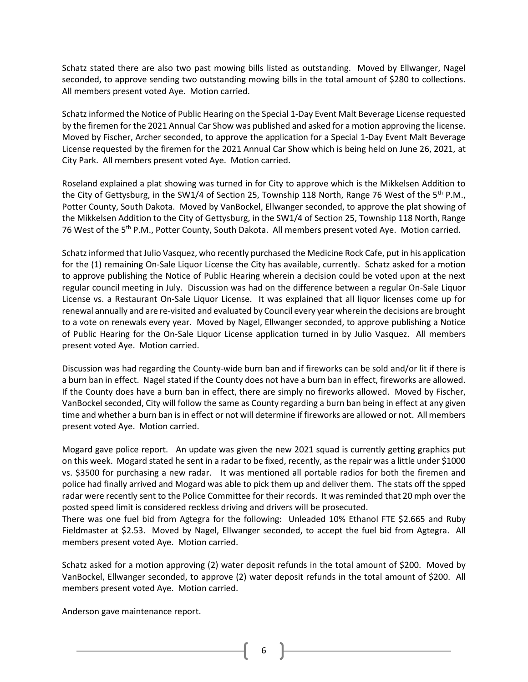Schatz stated there are also two past mowing bills listed as outstanding. Moved by Ellwanger, Nagel seconded, to approve sending two outstanding mowing bills in the total amount of \$280 to collections. All members present voted Aye. Motion carried.

Schatz informed the Notice of Public Hearing on the Special 1-Day Event Malt Beverage License requested by the firemen for the 2021 Annual Car Show was published and asked for a motion approving the license. Moved by Fischer, Archer seconded, to approve the application for a Special 1-Day Event Malt Beverage License requested by the firemen for the 2021 Annual Car Show which is being held on June 26, 2021, at City Park. All members present voted Aye. Motion carried.

Roseland explained a plat showing was turned in for City to approve which is the Mikkelsen Addition to the City of Gettysburg, in the SW1/4 of Section 25, Township 118 North, Range 76 West of the 5<sup>th</sup> P.M., Potter County, South Dakota. Moved by VanBockel, Ellwanger seconded, to approve the plat showing of the Mikkelsen Addition to the City of Gettysburg, in the SW1/4 of Section 25, Township 118 North, Range 76 West of the 5<sup>th</sup> P.M., Potter County, South Dakota. All members present voted Aye. Motion carried.

Schatz informed that Julio Vasquez, who recently purchased the Medicine Rock Cafe, put in his application for the (1) remaining On-Sale Liquor License the City has available, currently. Schatz asked for a motion to approve publishing the Notice of Public Hearing wherein a decision could be voted upon at the next regular council meeting in July. Discussion was had on the difference between a regular On-Sale Liquor License vs. a Restaurant On-Sale Liquor License. It was explained that all liquor licenses come up for renewal annually and are re-visited and evaluated by Council every year wherein the decisions are brought to a vote on renewals every year. Moved by Nagel, Ellwanger seconded, to approve publishing a Notice of Public Hearing for the On-Sale Liquor License application turned in by Julio Vasquez. All members present voted Aye. Motion carried.

Discussion was had regarding the County-wide burn ban and if fireworks can be sold and/or lit if there is a burn ban in effect. Nagel stated if the County does not have a burn ban in effect, fireworks are allowed. If the County does have a burn ban in effect, there are simply no fireworks allowed. Moved by Fischer, VanBockel seconded, City will follow the same as County regarding a burn ban being in effect at any given time and whether a burn ban is in effect or not will determine if fireworks are allowed or not. All members present voted Aye. Motion carried.

Mogard gave police report. An update was given the new 2021 squad is currently getting graphics put on this week. Mogard stated he sent in a radar to be fixed, recently, as the repair was a little under \$1000 vs. \$3500 for purchasing a new radar. It was mentioned all portable radios for both the firemen and police had finally arrived and Mogard was able to pick them up and deliver them. The stats off the spped radar were recently sent to the Police Committee for their records. It was reminded that 20 mph over the posted speed limit is considered reckless driving and drivers will be prosecuted.

There was one fuel bid from Agtegra for the following: Unleaded 10% Ethanol FTE \$2.665 and Ruby Fieldmaster at \$2.53. Moved by Nagel, Ellwanger seconded, to accept the fuel bid from Agtegra. All members present voted Aye. Motion carried.

Schatz asked for a motion approving (2) water deposit refunds in the total amount of \$200. Moved by VanBockel, Ellwanger seconded, to approve (2) water deposit refunds in the total amount of \$200. All members present voted Aye. Motion carried.

Anderson gave maintenance report.

6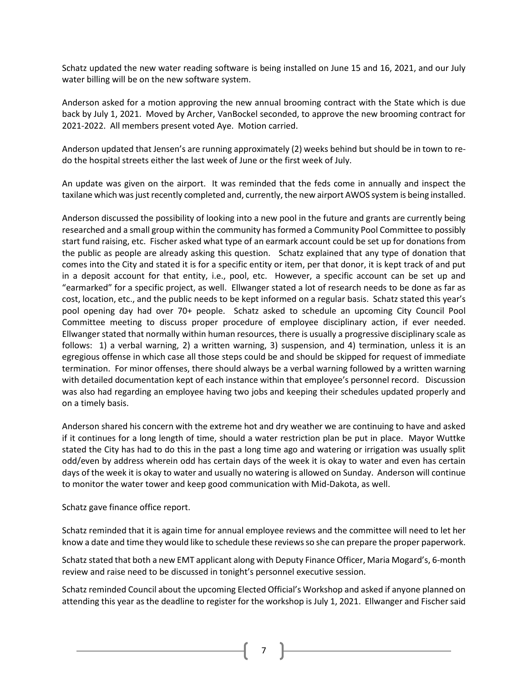Schatz updated the new water reading software is being installed on June 15 and 16, 2021, and our July water billing will be on the new software system.

Anderson asked for a motion approving the new annual brooming contract with the State which is due back by July 1, 2021. Moved by Archer, VanBockel seconded, to approve the new brooming contract for 2021-2022. All members present voted Aye. Motion carried.

Anderson updated that Jensen's are running approximately (2) weeks behind but should be in town to redo the hospital streets either the last week of June or the first week of July.

An update was given on the airport. It was reminded that the feds come in annually and inspect the taxilane which was justrecently completed and, currently, the new airport AWOS system is being installed.

Anderson discussed the possibility of looking into a new pool in the future and grants are currently being researched and a small group within the community has formed a Community Pool Committee to possibly start fund raising, etc. Fischer asked what type of an earmark account could be set up for donations from the public as people are already asking this question. Schatz explained that any type of donation that comes into the City and stated it is for a specific entity or item, per that donor, it is kept track of and put in a deposit account for that entity, i.e., pool, etc. However, a specific account can be set up and "earmarked" for a specific project, as well. Ellwanger stated a lot of research needs to be done as far as cost, location, etc., and the public needs to be kept informed on a regular basis. Schatz stated this year's pool opening day had over 70+ people. Schatz asked to schedule an upcoming City Council Pool Committee meeting to discuss proper procedure of employee disciplinary action, if ever needed. Ellwanger stated that normally within human resources, there is usually a progressive disciplinary scale as follows: 1) a verbal warning, 2) a written warning, 3) suspension, and 4) termination, unless it is an egregious offense in which case all those steps could be and should be skipped for request of immediate termination. For minor offenses, there should always be a verbal warning followed by a written warning with detailed documentation kept of each instance within that employee's personnel record. Discussion was also had regarding an employee having two jobs and keeping their schedules updated properly and on a timely basis.

Anderson shared his concern with the extreme hot and dry weather we are continuing to have and asked if it continues for a long length of time, should a water restriction plan be put in place. Mayor Wuttke stated the City has had to do this in the past a long time ago and watering or irrigation was usually split odd/even by address wherein odd has certain days of the week it is okay to water and even has certain days of the week it is okay to water and usually no watering is allowed on Sunday. Anderson will continue to monitor the water tower and keep good communication with Mid-Dakota, as well.

Schatz gave finance office report.

Schatz reminded that it is again time for annual employee reviews and the committee will need to let her know a date and time they would like to schedule these reviews so she can prepare the proper paperwork.

Schatz stated that both a new EMT applicant along with Deputy Finance Officer, Maria Mogard's, 6-month review and raise need to be discussed in tonight's personnel executive session.

Schatz reminded Council about the upcoming Elected Official's Workshop and asked if anyone planned on attending this year as the deadline to register for the workshop is July 1, 2021. Ellwanger and Fischer said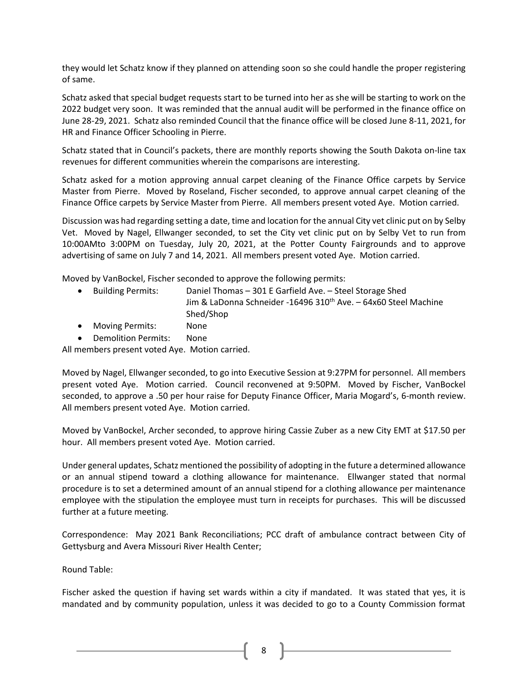they would let Schatz know if they planned on attending soon so she could handle the proper registering of same.

Schatz asked that special budget requests start to be turned into her as she will be starting to work on the 2022 budget very soon. It was reminded that the annual audit will be performed in the finance office on June 28-29, 2021. Schatz also reminded Council that the finance office will be closed June 8-11, 2021, for HR and Finance Officer Schooling in Pierre.

Schatz stated that in Council's packets, there are monthly reports showing the South Dakota on-line tax revenues for different communities wherein the comparisons are interesting.

Schatz asked for a motion approving annual carpet cleaning of the Finance Office carpets by Service Master from Pierre. Moved by Roseland, Fischer seconded, to approve annual carpet cleaning of the Finance Office carpets by Service Master from Pierre. All members present voted Aye. Motion carried.

Discussion was had regarding setting a date, time and location for the annual City vet clinic put on by Selby Vet. Moved by Nagel, Ellwanger seconded, to set the City vet clinic put on by Selby Vet to run from 10:00AMto 3:00PM on Tuesday, July 20, 2021, at the Potter County Fairgrounds and to approve advertising of same on July 7 and 14, 2021. All members present voted Aye. Motion carried.

Moved by VanBockel, Fischer seconded to approve the following permits:

| • Building Permits: | Daniel Thomas – 301 E Garfield Ave. – Steel Storage Shed                    |
|---------------------|-----------------------------------------------------------------------------|
|                     | Jim & LaDonna Schneider -16496 310 <sup>th</sup> Ave. - 64x60 Steel Machine |
|                     | Shed/Shop                                                                   |

- Moving Permits: None
- Demolition Permits: None

All members present voted Aye. Motion carried.

Moved by Nagel, Ellwanger seconded, to go into Executive Session at 9:27PM for personnel. All members present voted Aye. Motion carried. Council reconvened at 9:50PM. Moved by Fischer, VanBockel seconded, to approve a .50 per hour raise for Deputy Finance Officer, Maria Mogard's, 6-month review. All members present voted Aye. Motion carried.

Moved by VanBockel, Archer seconded, to approve hiring Cassie Zuber as a new City EMT at \$17.50 per hour. All members present voted Aye. Motion carried.

Under general updates, Schatz mentioned the possibility of adopting in the future a determined allowance or an annual stipend toward a clothing allowance for maintenance. Ellwanger stated that normal procedure is to set a determined amount of an annual stipend for a clothing allowance per maintenance employee with the stipulation the employee must turn in receipts for purchases. This will be discussed further at a future meeting.

Correspondence: May 2021 Bank Reconciliations; PCC draft of ambulance contract between City of Gettysburg and Avera Missouri River Health Center;

Round Table:

Fischer asked the question if having set wards within a city if mandated. It was stated that yes, it is mandated and by community population, unless it was decided to go to a County Commission format